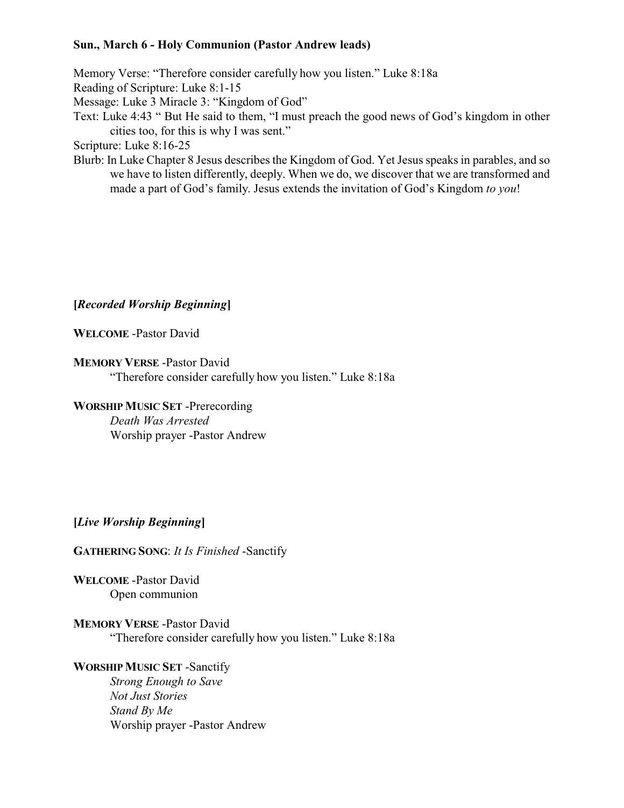# **Sun., March 6 - Holy Communion (Pastor Andrew leads)**

Memory Verse: "Therefore consider carefully how you listen." Luke 8:18a Reading of Scripture: Luke 8:1-15 Message: Luke 3 Miracle 3: "Kingdom of God" Text: Luke 4:43 " But He said to them, "I must preach the good news of God's kingdom in other cities too, for this is why I was sent." Scripture: Luke 8:16-25 Blurb: In Luke Chapter 8 Jesus describes the Kingdom of God. Yet Jesus speaks in parables, and so we have to listen differently, deeply. When we do, we discover that we are transformed and

made a part of God's family. Jesus extends the invitation of God's Kingdom *to you*!

**[***Recorded Worship Beginning***]**

**WELCOME** -Pastor David

**MEMORY VERSE** -Pastor David "Therefore consider carefully how you listen." Luke 8:18a

# **WORSHIP MUSIC SET** -Prerecording

*Death Was Arrested* Worship prayer -Pastor Andrew

# **[***Live Worship Beginning***]**

**GATHERING SONG**: *It Is Finished* -Sanctify

**WELCOME** -Pastor David Open communion

**MEMORY VERSE** -Pastor David "Therefore consider carefully how you listen." Luke 8:18a

# **WORSHIP MUSIC SET** -Sanctify

*Strong Enough to Save Not Just Stories Stand By Me* Worship prayer -Pastor Andrew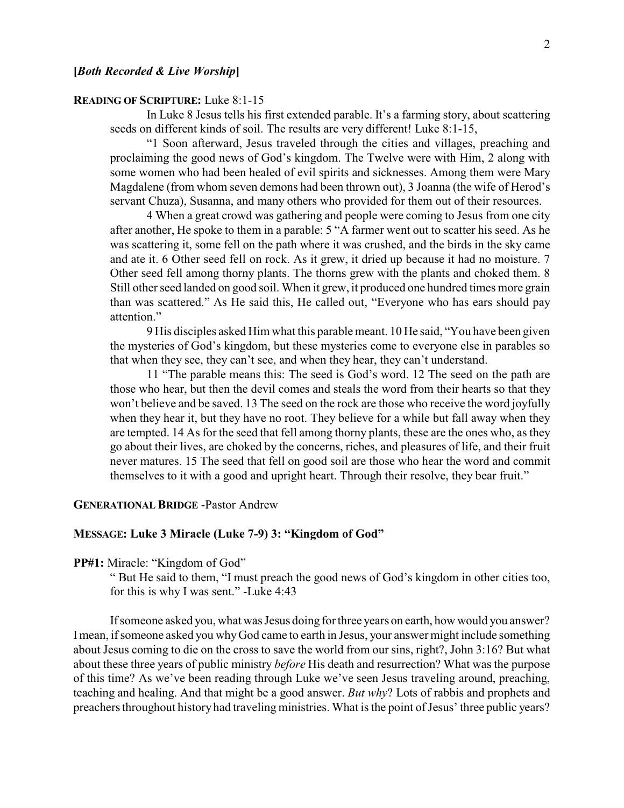### **READING OF SCRIPTURE:** Luke 8:1-15

In Luke 8 Jesus tells his first extended parable. It's a farming story, about scattering seeds on different kinds of soil. The results are very different! Luke 8:1-15,

"1 Soon afterward, Jesus traveled through the cities and villages, preaching and proclaiming the good news of God's kingdom. The Twelve were with Him, 2 along with some women who had been healed of evil spirits and sicknesses. Among them were Mary Magdalene (from whom seven demons had been thrown out), 3 Joanna (the wife of Herod's servant Chuza), Susanna, and many others who provided for them out of their resources.

4 When a great crowd was gathering and people were coming to Jesus from one city after another, He spoke to them in a parable: 5 "A farmer went out to scatter his seed. As he was scattering it, some fell on the path where it was crushed, and the birds in the sky came and ate it. 6 Other seed fell on rock. As it grew, it dried up because it had no moisture. 7 Other seed fell among thorny plants. The thorns grew with the plants and choked them. 8 Still other seed landed on good soil. When it grew, it produced one hundred times more grain than was scattered." As He said this, He called out, "Everyone who has ears should pay attention."

9 His disciples asked Him what this parable meant. 10 He said, "You have been given the mysteries of God's kingdom, but these mysteries come to everyone else in parables so that when they see, they can't see, and when they hear, they can't understand.

11 "The parable means this: The seed is God's word. 12 The seed on the path are those who hear, but then the devil comes and steals the word from their hearts so that they won't believe and be saved. 13 The seed on the rock are those who receive the word joyfully when they hear it, but they have no root. They believe for a while but fall away when they are tempted. 14 As for the seed that fell among thorny plants, these are the ones who, as they go about their lives, are choked by the concerns, riches, and pleasures of life, and their fruit never matures. 15 The seed that fell on good soil are those who hear the word and commit themselves to it with a good and upright heart. Through their resolve, they bear fruit."

## **GENERATIONAL BRIDGE** -Pastor Andrew

## **MESSAGE: Luke 3 Miracle (Luke 7-9) 3: "Kingdom of God"**

#### **PP#1:** Miracle: "Kingdom of God"

" But He said to them, "I must preach the good news of God's kingdom in other cities too, for this is why I was sent." -Luke 4:43

If someone asked you, what was Jesus doing for three years on earth, how would you answer? Imean, if someone asked you whyGod came to earth in Jesus, your answer might include something about Jesus coming to die on the cross to save the world from our sins, right?, John 3:16? But what about these three years of public ministry *before* His death and resurrection? What was the purpose of this time? As we've been reading through Luke we've seen Jesus traveling around, preaching, teaching and healing. And that might be a good answer. *But why*? Lots of rabbis and prophets and preachers throughout history had traveling ministries. What is the point of Jesus' three public years?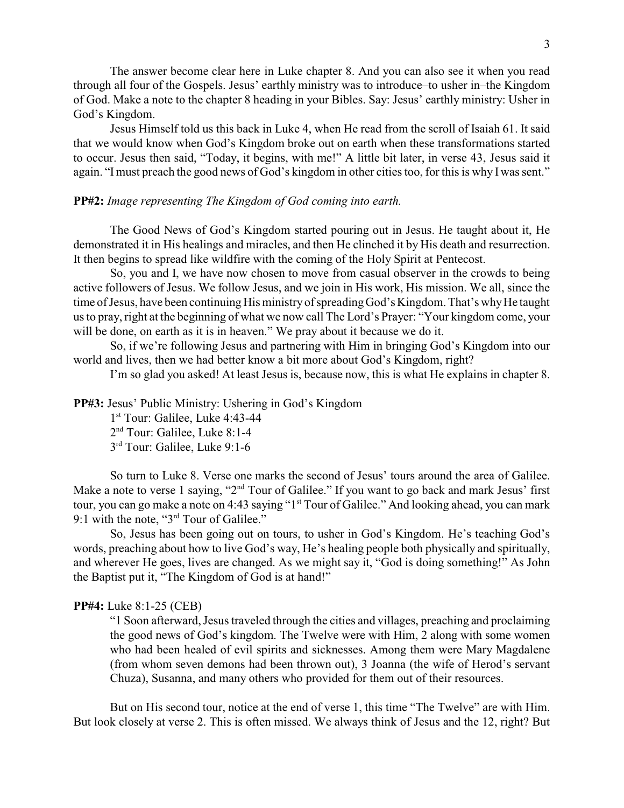The answer become clear here in Luke chapter 8. And you can also see it when you read through all four of the Gospels. Jesus' earthly ministry was to introduce–to usher in–the Kingdom of God. Make a note to the chapter 8 heading in your Bibles. Say: Jesus' earthly ministry: Usher in God's Kingdom.

Jesus Himself told us this back in Luke 4, when He read from the scroll of Isaiah 61. It said that we would know when God's Kingdom broke out on earth when these transformations started to occur. Jesus then said, "Today, it begins, with me!" A little bit later, in verse 43, Jesus said it again. "Imust preach the good news of God's kingdom in other cities too, for this is why I was sent."

## **PP#2:** *Image representing The Kingdom of God coming into earth.*

The Good News of God's Kingdom started pouring out in Jesus. He taught about it, He demonstrated it in His healings and miracles, and then He clinched it by His death and resurrection. It then begins to spread like wildfire with the coming of the Holy Spirit at Pentecost.

So, you and I, we have now chosen to move from casual observer in the crowds to being active followers of Jesus. We follow Jesus, and we join in His work, His mission. We all, since the time of Jesus, have been continuing His ministry of spreading God's Kingdom. That's why He taught us to pray, right at the beginning of what we now call The Lord's Prayer: "Your kingdom come, your will be done, on earth as it is in heaven." We pray about it because we do it.

So, if we're following Jesus and partnering with Him in bringing God's Kingdom into our world and lives, then we had better know a bit more about God's Kingdom, right?

I'm so glad you asked! At least Jesus is, because now, this is what He explains in chapter 8.

**PP#3:** Jesus' Public Ministry: Ushering in God's Kingdom

1 st Tour: Galilee, Luke 4:43-44

2 nd Tour: Galilee, Luke 8:1-4

3 rd Tour: Galilee, Luke 9:1-6

So turn to Luke 8. Verse one marks the second of Jesus' tours around the area of Galilee. Make a note to verse 1 saying, "2<sup>nd</sup> Tour of Galilee." If you want to go back and mark Jesus' first tour, you can go make a note on 4:43 saying "1<sup>st</sup> Tour of Galilee." And looking ahead, you can mark 9:1 with the note, "3rd Tour of Galilee."

So, Jesus has been going out on tours, to usher in God's Kingdom. He's teaching God's words, preaching about how to live God's way, He's healing people both physically and spiritually, and wherever He goes, lives are changed. As we might say it, "God is doing something!" As John the Baptist put it, "The Kingdom of God is at hand!"

# **PP#4:** Luke 8:1-25 (CEB)

"1 Soon afterward, Jesus traveled through the cities and villages, preaching and proclaiming the good news of God's kingdom. The Twelve were with Him, 2 along with some women who had been healed of evil spirits and sicknesses. Among them were Mary Magdalene (from whom seven demons had been thrown out), 3 Joanna (the wife of Herod's servant Chuza), Susanna, and many others who provided for them out of their resources.

But on His second tour, notice at the end of verse 1, this time "The Twelve" are with Him. But look closely at verse 2. This is often missed. We always think of Jesus and the 12, right? But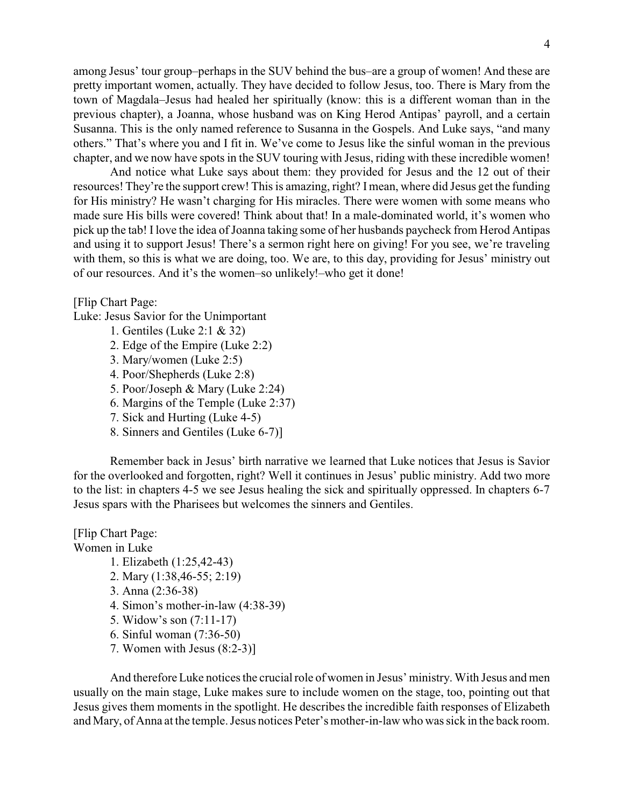among Jesus' tour group–perhaps in the SUV behind the bus–are a group of women! And these are pretty important women, actually. They have decided to follow Jesus, too. There is Mary from the town of Magdala–Jesus had healed her spiritually (know: this is a different woman than in the previous chapter), a Joanna, whose husband was on King Herod Antipas' payroll, and a certain Susanna. This is the only named reference to Susanna in the Gospels. And Luke says, "and many others." That's where you and I fit in. We've come to Jesus like the sinful woman in the previous chapter, and we now have spots in the SUV touring with Jesus, riding with these incredible women!

And notice what Luke says about them: they provided for Jesus and the 12 out of their resources! They're the support crew! This is amazing, right? I mean, where did Jesus get the funding for His ministry? He wasn't charging for His miracles. There were women with some means who made sure His bills were covered! Think about that! In a male-dominated world, it's women who pick up the tab! I love the idea of Joanna taking some of her husbands paycheck from Herod Antipas and using it to support Jesus! There's a sermon right here on giving! For you see, we're traveling with them, so this is what we are doing, too. We are, to this day, providing for Jesus' ministry out of our resources. And it's the women–so unlikely!–who get it done!

[Flip Chart Page:

Luke: Jesus Savior for the Unimportant

- 1. Gentiles (Luke 2:1 & 32)
- 2. Edge of the Empire (Luke 2:2)
- 3. Mary/women (Luke 2:5)
- 4. Poor/Shepherds (Luke 2:8)
- 5. Poor/Joseph & Mary (Luke 2:24)
- 6. Margins of the Temple (Luke 2:37)
- 7. Sick and Hurting (Luke 4-5)
- 8. Sinners and Gentiles (Luke 6-7)]

Remember back in Jesus' birth narrative we learned that Luke notices that Jesus is Savior for the overlooked and forgotten, right? Well it continues in Jesus' public ministry. Add two more to the list: in chapters 4-5 we see Jesus healing the sick and spiritually oppressed. In chapters 6-7 Jesus spars with the Pharisees but welcomes the sinners and Gentiles.

[Flip Chart Page: Women in Luke 1. Elizabeth (1:25,42-43) 2. Mary (1:38,46-55; 2:19)

- 3. Anna (2:36-38)
- 4. Simon's mother-in-law (4:38-39)
- 5. Widow's son (7:11-17)
- 6. Sinful woman (7:36-50)
- 7. Women with Jesus (8:2-3)]

And therefore Luke notices the crucial role of women in Jesus' ministry. With Jesus and men usually on the main stage, Luke makes sure to include women on the stage, too, pointing out that Jesus gives them moments in the spotlight. He describes the incredible faith responses of Elizabeth and Mary, of Anna at the temple. Jesus notices Peter's mother-in-law who was sick in the back room.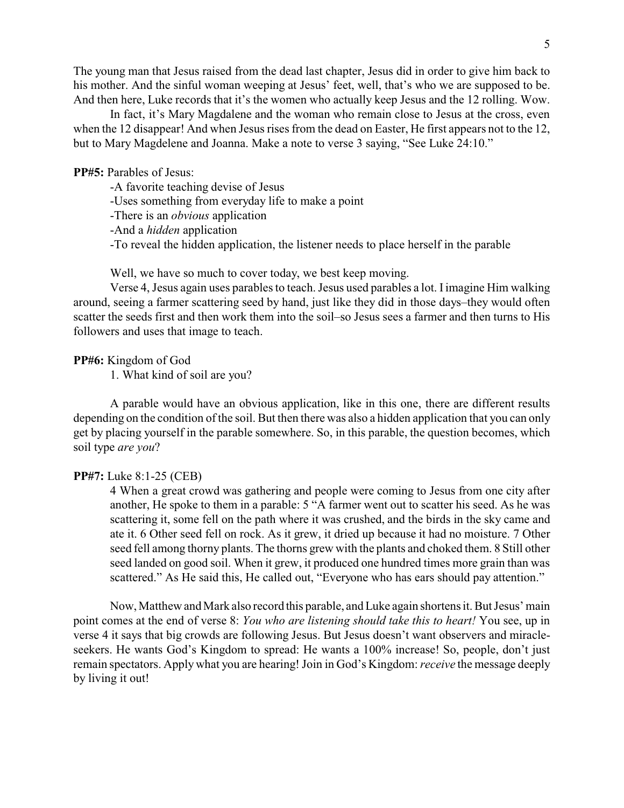The young man that Jesus raised from the dead last chapter, Jesus did in order to give him back to his mother. And the sinful woman weeping at Jesus' feet, well, that's who we are supposed to be. And then here, Luke records that it's the women who actually keep Jesus and the 12 rolling. Wow.

In fact, it's Mary Magdalene and the woman who remain close to Jesus at the cross, even when the 12 disappear! And when Jesus rises from the dead on Easter, He first appears not to the 12, but to Mary Magdelene and Joanna. Make a note to verse 3 saying, "See Luke 24:10."

# **PP#5:** Parables of Jesus:

-A favorite teaching devise of Jesus

-Uses something from everyday life to make a point

-There is an *obvious* application

-And a *hidden* application

-To reveal the hidden application, the listener needs to place herself in the parable

Well, we have so much to cover today, we best keep moving.

Verse 4, Jesus again uses parables to teach. Jesus used parables a lot. Iimagine Him walking around, seeing a farmer scattering seed by hand, just like they did in those days–they would often scatter the seeds first and then work them into the soil–so Jesus sees a farmer and then turns to His followers and uses that image to teach.

#### **PP#6:** Kingdom of God

1. What kind of soil are you?

A parable would have an obvious application, like in this one, there are different results depending on the condition of the soil. But then there was also a hidden application that you can only get by placing yourself in the parable somewhere. So, in this parable, the question becomes, which soil type *are you*?

# **PP#7:** Luke 8:1-25 (CEB)

4 When a great crowd was gathering and people were coming to Jesus from one city after another, He spoke to them in a parable: 5 "A farmer went out to scatter his seed. As he was scattering it, some fell on the path where it was crushed, and the birds in the sky came and ate it. 6 Other seed fell on rock. As it grew, it dried up because it had no moisture. 7 Other seed fell among thorny plants. The thorns grew with the plants and choked them. 8 Still other seed landed on good soil. When it grew, it produced one hundred times more grain than was scattered." As He said this, He called out, "Everyone who has ears should pay attention."

Now, Matthew and Mark also record this parable, and Luke again shortens it. But Jesus' main point comes at the end of verse 8: *You who are listening should take this to heart!* You see, up in verse 4 it says that big crowds are following Jesus. But Jesus doesn't want observers and miracleseekers. He wants God's Kingdom to spread: He wants a 100% increase! So, people, don't just remain spectators. Apply what you are hearing! Join in God's Kingdom: *receive* the message deeply by living it out!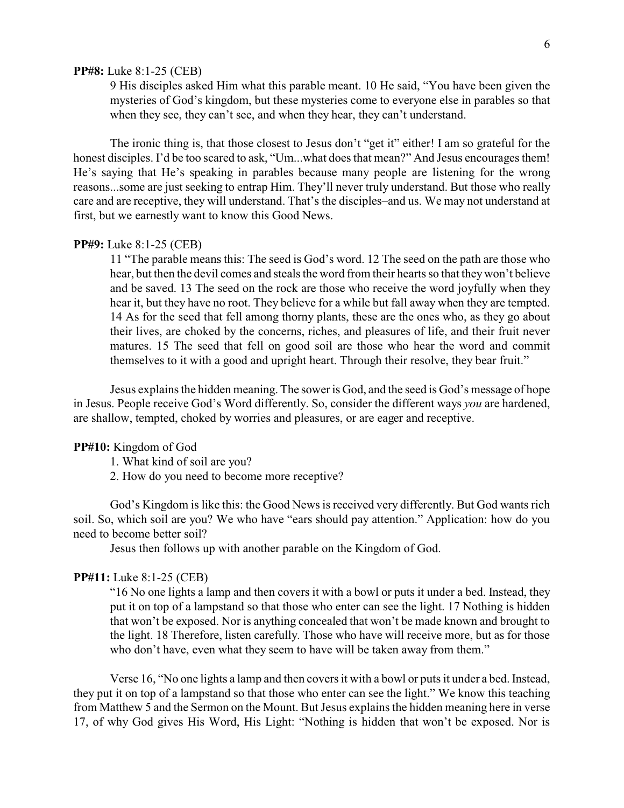## **PP#8:** Luke 8:1-25 (CEB)

9 His disciples asked Him what this parable meant. 10 He said, "You have been given the mysteries of God's kingdom, but these mysteries come to everyone else in parables so that when they see, they can't see, and when they hear, they can't understand.

The ironic thing is, that those closest to Jesus don't "get it" either! I am so grateful for the honest disciples. I'd be too scared to ask, "Um...what does that mean?" And Jesus encourages them! He's saying that He's speaking in parables because many people are listening for the wrong reasons...some are just seeking to entrap Him. They'll never truly understand. But those who really care and are receptive, they will understand. That's the disciples–and us. We may not understand at first, but we earnestly want to know this Good News.

#### **PP#9:** Luke 8:1-25 (CEB)

11 "The parable means this: The seed is God's word. 12 The seed on the path are those who hear, but then the devil comes and steals the word from their hearts so that theywon't believe and be saved. 13 The seed on the rock are those who receive the word joyfully when they hear it, but they have no root. They believe for a while but fall away when they are tempted. 14 As for the seed that fell among thorny plants, these are the ones who, as they go about their lives, are choked by the concerns, riches, and pleasures of life, and their fruit never matures. 15 The seed that fell on good soil are those who hear the word and commit themselves to it with a good and upright heart. Through their resolve, they bear fruit."

Jesus explains the hidden meaning. The sower is God, and the seed is God's message of hope in Jesus. People receive God's Word differently. So, consider the different ways *you* are hardened, are shallow, tempted, choked by worries and pleasures, or are eager and receptive.

### **PP#10:** Kingdom of God

1. What kind of soil are you?

2. How do you need to become more receptive?

God's Kingdom is like this: the Good News is received very differently. But God wants rich soil. So, which soil are you? We who have "ears should pay attention." Application: how do you need to become better soil?

Jesus then follows up with another parable on the Kingdom of God.

# **PP#11:** Luke 8:1-25 (CEB)

"16 No one lights a lamp and then covers it with a bowl or puts it under a bed. Instead, they put it on top of a lampstand so that those who enter can see the light. 17 Nothing is hidden that won't be exposed. Nor is anything concealed that won't be made known and brought to the light. 18 Therefore, listen carefully. Those who have will receive more, but as for those who don't have, even what they seem to have will be taken away from them."

Verse 16, "No one lights a lamp and then covers it with a bowl or puts it under a bed. Instead, they put it on top of a lampstand so that those who enter can see the light." We know this teaching from Matthew 5 and the Sermon on the Mount. But Jesus explains the hidden meaning here in verse 17, of why God gives His Word, His Light: "Nothing is hidden that won't be exposed. Nor is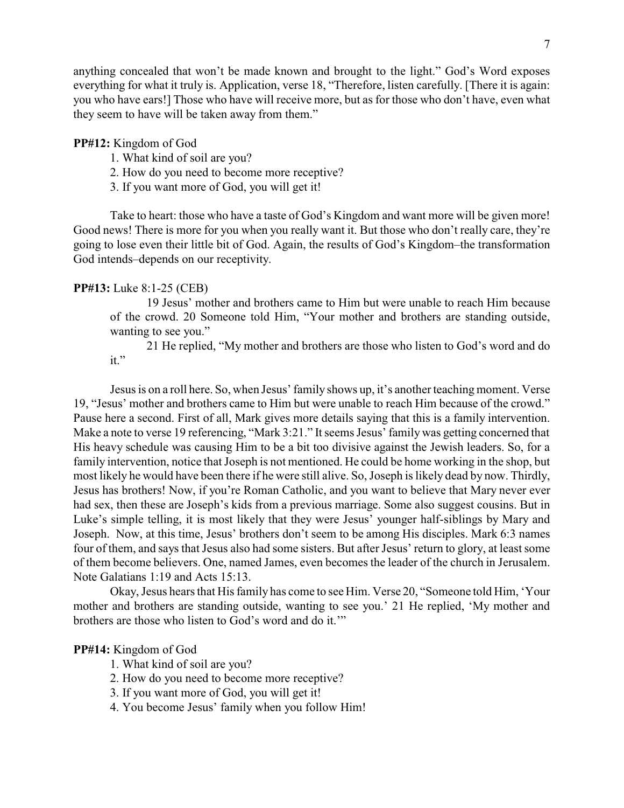anything concealed that won't be made known and brought to the light." God's Word exposes everything for what it truly is. Application, verse 18, "Therefore, listen carefully. [There it is again: you who have ears!] Those who have will receive more, but as for those who don't have, even what they seem to have will be taken away from them."

# **PP#12:** Kingdom of God

- 1. What kind of soil are you?
- 2. How do you need to become more receptive?
- 3. If you want more of God, you will get it!

Take to heart: those who have a taste of God's Kingdom and want more will be given more! Good news! There is more for you when you really want it. But those who don't really care, they're going to lose even their little bit of God. Again, the results of God's Kingdom–the transformation God intends–depends on our receptivity.

# **PP#13:** Luke 8:1-25 (CEB)

19 Jesus' mother and brothers came to Him but were unable to reach Him because of the crowd. 20 Someone told Him, "Your mother and brothers are standing outside, wanting to see you."

21 He replied, "My mother and brothers are those who listen to God's word and do it."

Jesus is on a roll here. So, when Jesus' family shows up, it's another teaching moment. Verse 19, "Jesus' mother and brothers came to Him but were unable to reach Him because of the crowd." Pause here a second. First of all, Mark gives more details saying that this is a family intervention. Make a note to verse 19 referencing, "Mark 3:21." It seems Jesus' family was getting concerned that His heavy schedule was causing Him to be a bit too divisive against the Jewish leaders. So, for a family intervention, notice that Joseph is not mentioned. He could be home working in the shop, but most likely he would have been there if he were still alive. So, Joseph is likely dead by now. Thirdly, Jesus has brothers! Now, if you're Roman Catholic, and you want to believe that Mary never ever had sex, then these are Joseph's kids from a previous marriage. Some also suggest cousins. But in Luke's simple telling, it is most likely that they were Jesus' younger half-siblings by Mary and Joseph. Now, at this time, Jesus' brothers don't seem to be among His disciples. Mark 6:3 names four of them, and says that Jesus also had some sisters. But after Jesus' return to glory, at least some of them become believers. One, named James, even becomes the leader of the church in Jerusalem. Note Galatians 1:19 and Acts 15:13.

Okay, Jesus hears that His family has come to see Him. Verse 20, "Someone told Him, 'Your mother and brothers are standing outside, wanting to see you.' 21 He replied, 'My mother and brothers are those who listen to God's word and do it.'"

## **PP#14:** Kingdom of God

- 1. What kind of soil are you?
- 2. How do you need to become more receptive?
- 3. If you want more of God, you will get it!
- 4. You become Jesus' family when you follow Him!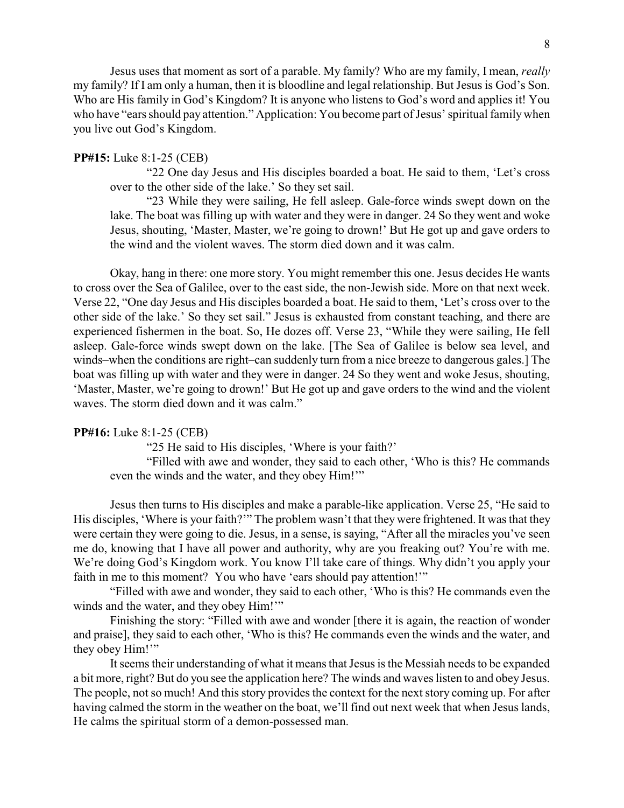Jesus uses that moment as sort of a parable. My family? Who are my family, I mean, *really* my family? If I am only a human, then it is bloodline and legal relationship. But Jesus is God's Son. Who are His family in God's Kingdom? It is anyone who listens to God's word and applies it! You who have "ears should pay attention." Application: You become part of Jesus' spiritual family when you live out God's Kingdom.

#### **PP#15:** Luke 8:1-25 (CEB)

"22 One day Jesus and His disciples boarded a boat. He said to them, 'Let's cross over to the other side of the lake.' So they set sail.

"23 While they were sailing, He fell asleep. Gale-force winds swept down on the lake. The boat was filling up with water and they were in danger. 24 So they went and woke Jesus, shouting, 'Master, Master, we're going to drown!' But He got up and gave orders to the wind and the violent waves. The storm died down and it was calm.

Okay, hang in there: one more story. You might remember this one. Jesus decides He wants to cross over the Sea of Galilee, over to the east side, the non-Jewish side. More on that next week. Verse 22, "One day Jesus and His disciples boarded a boat. He said to them, 'Let's cross over to the other side of the lake.' So they set sail." Jesus is exhausted from constant teaching, and there are experienced fishermen in the boat. So, He dozes off. Verse 23, "While they were sailing, He fell asleep. Gale-force winds swept down on the lake. [The Sea of Galilee is below sea level, and winds–when the conditions are right–can suddenly turn from a nice breeze to dangerous gales.] The boat was filling up with water and they were in danger. 24 So they went and woke Jesus, shouting, 'Master, Master, we're going to drown!' But He got up and gave orders to the wind and the violent waves. The storm died down and it was calm."

#### **PP#16:** Luke 8:1-25 (CEB)

"25 He said to His disciples, 'Where is your faith?'

"Filled with awe and wonder, they said to each other, 'Who is this? He commands even the winds and the water, and they obey Him!'"

Jesus then turns to His disciples and make a parable-like application. Verse 25, "He said to His disciples, 'Where is your faith?'" The problem wasn't that they were frightened. It was that they were certain they were going to die. Jesus, in a sense, is saying, "After all the miracles you've seen me do, knowing that I have all power and authority, why are you freaking out? You're with me. We're doing God's Kingdom work. You know I'll take care of things. Why didn't you apply your faith in me to this moment? You who have 'ears should pay attention!'"

"Filled with awe and wonder, they said to each other, 'Who is this? He commands even the winds and the water, and they obey Him!"

Finishing the story: "Filled with awe and wonder [there it is again, the reaction of wonder and praise], they said to each other, 'Who is this? He commands even the winds and the water, and they obey Him!"

It seems their understanding of what it means that Jesus is the Messiah needs to be expanded a bit more, right? But do you see the application here? The winds and waves listen to and obey Jesus. The people, not so much! And this story provides the context for the next story coming up. For after having calmed the storm in the weather on the boat, we'll find out next week that when Jesus lands, He calms the spiritual storm of a demon-possessed man.